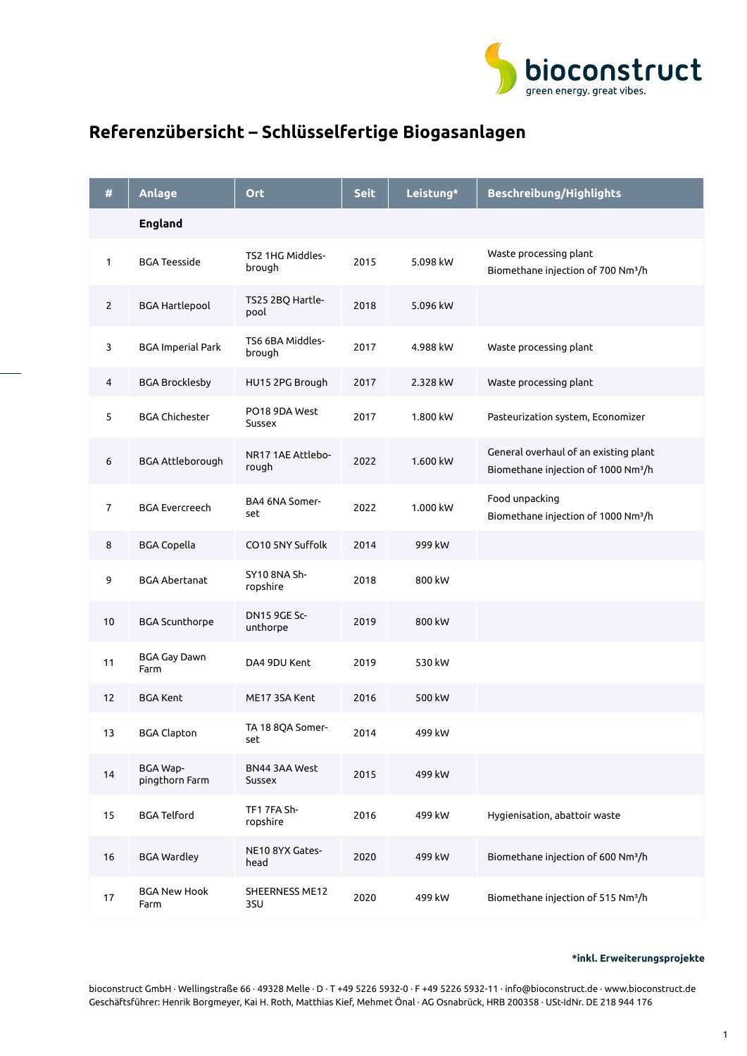

## **Referenzübersicht – Schlüsselfertige Biogasanlagen**

| #            | Anlage                            | <b>Ort</b>                      | <b>Seit</b> | Leistung* | Beschreibung/Highlights                                                                  |
|--------------|-----------------------------------|---------------------------------|-------------|-----------|------------------------------------------------------------------------------------------|
|              | <b>England</b>                    |                                 |             |           |                                                                                          |
| 1            | <b>BGA Teesside</b>               | TS2 1HG Middles-<br>brough      | 2015        | 5.098 kW  | Waste processing plant<br>Biomethane injection of 700 Nm <sup>3</sup> /h                 |
| $\mathbf{2}$ | <b>BGA Hartlepool</b>             | TS25 2BQ Hartle-<br>pool        | 2018        | 5.096 kW  |                                                                                          |
| 3            | <b>BGA Imperial Park</b>          | TS6 6BA Middles-<br>brough      | 2017        | 4.988 kW  | Waste processing plant                                                                   |
| 4            | <b>BGA Brocklesby</b>             | HU15 2PG Brough                 | 2017        | 2.328 kW  | Waste processing plant                                                                   |
| 5            | <b>BGA Chichester</b>             | PO18 9DA West<br>Sussex         | 2017        | 1.800 kW  | Pasteurization system, Economizer                                                        |
| 6            | BGA Attleborough                  | NR17 1AE Attlebo-<br>rough      | 2022        | 1.600 kW  | General overhaul of an existing plant<br>Biomethane injection of 1000 Nm <sup>3</sup> /h |
| 7            | <b>BGA Evercreech</b>             | BA4 6NA Somer-<br>set           | 2022        | 1.000 kW  | Food unpacking<br>Biomethane injection of 1000 Nm <sup>3</sup> /h                        |
| 8            | <b>BGA Copella</b>                | CO10 5NY Suffolk                | 2014        | 999 kW    |                                                                                          |
| 9            | <b>BGA Abertanat</b>              | SY10 8NA Sh-<br>ropshire        | 2018        | 800 kW    |                                                                                          |
| 10           | <b>BGA Scunthorpe</b>             | <b>DN15 9GE Sc-</b><br>unthorpe | 2019        | 800 kW    |                                                                                          |
| 11           | BGA Gay Dawn<br>Farm              | DA4 9DU Kent                    | 2019        | 530 kW    |                                                                                          |
| 12           | <b>BGA Kent</b>                   | ME17 3SA Kent                   | 2016        | 500 kW    |                                                                                          |
| 13           | <b>BGA Clapton</b>                | TA 18 8QA Somer-<br>set         | 2014        | 499 kW    |                                                                                          |
| 14           | <b>BGA Wap-</b><br>pingthorn Farm | BN44 3AA West<br>Sussex         | 2015        | 499 kW    |                                                                                          |
| 15           | <b>BGA Telford</b>                | TF1 7FA Sh-<br>ropshire         | 2016        | 499 kW    | Hygienisation, abattoir waste                                                            |
| 16           | <b>BGA Wardley</b>                | NE10 8YX Gates-<br>head         | 2020        | 499 kW    | Biomethane injection of 600 Nm <sup>3</sup> /h                                           |
| 17           | <b>BGA New Hook</b><br>Farm       | SHEERNESS ME12<br>3SU           | 2020        | 499 kW    | Biomethane injection of 515 Nm <sup>3</sup> /h                                           |

## **\*inkl. Erweiterungsprojekte**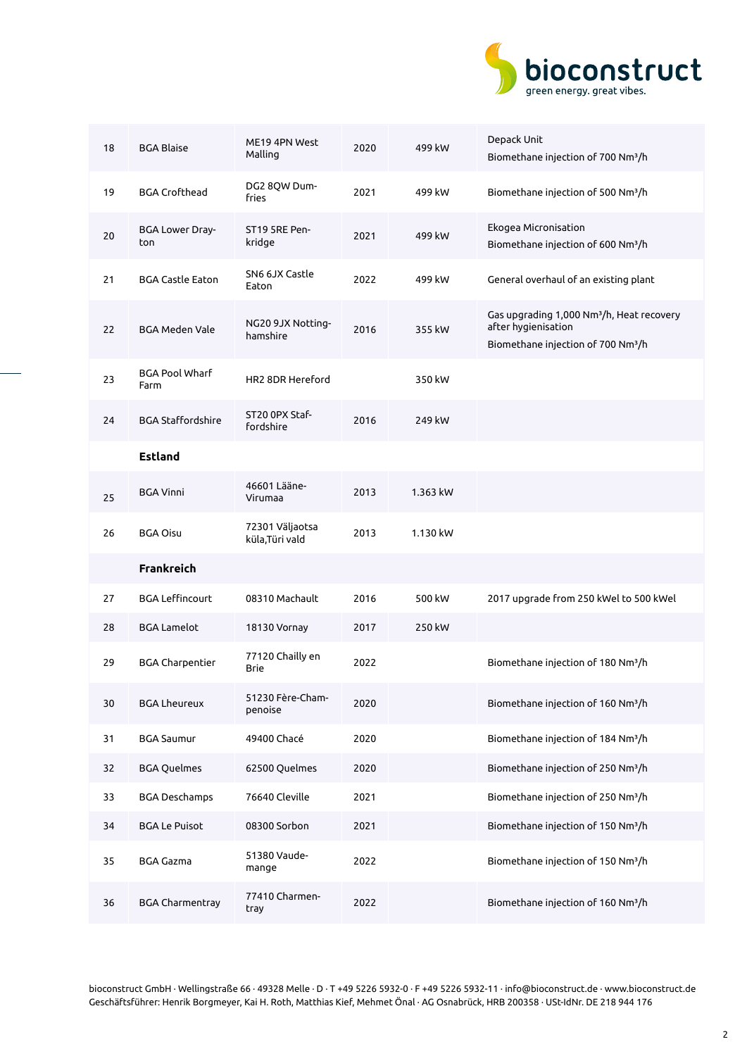

| 18 | <b>BGA Blaise</b>             | ME19 4PN West<br>Malling        | 2020 | 499 kW   | Depack Unit<br>Biomethane injection of 700 Nm <sup>3</sup> /h                                                                  |
|----|-------------------------------|---------------------------------|------|----------|--------------------------------------------------------------------------------------------------------------------------------|
| 19 | <b>BGA Crofthead</b>          | DG2 8QW Dum-<br>fries           | 2021 | 499 kW   | Biomethane injection of 500 Nm <sup>3</sup> /h                                                                                 |
| 20 | <b>BGA Lower Dray-</b><br>ton | ST19 5RE Pen-<br>kridge         | 2021 | 499 kW   | Ekogea Micronisation<br>Biomethane injection of 600 Nm <sup>3</sup> /h                                                         |
| 21 | <b>BGA Castle Eaton</b>       | SN6 6JX Castle<br>Eaton         | 2022 | 499 kW   | General overhaul of an existing plant                                                                                          |
| 22 | <b>BGA Meden Vale</b>         | NG20 9JX Notting-<br>hamshire   | 2016 | 355 kW   | Gas upgrading 1,000 Nm <sup>3</sup> /h, Heat recovery<br>after hygienisation<br>Biomethane injection of 700 Nm <sup>3</sup> /h |
| 23 | <b>BGA Pool Wharf</b><br>Farm | HR2 8DR Hereford                |      | 350 kW   |                                                                                                                                |
| 24 | <b>BGA Staffordshire</b>      | ST20 OPX Staf-<br>fordshire     | 2016 | 249 kW   |                                                                                                                                |
|    | <b>Estland</b>                |                                 |      |          |                                                                                                                                |
| 25 | <b>BGA Vinni</b>              | 46601 Lääne-<br>Virumaa         | 2013 | 1.363 kW |                                                                                                                                |
| 26 | <b>BGA Oisu</b>               | 72301 Väljaotsa                 | 2013 | 1.130 kW |                                                                                                                                |
|    |                               | küla,Türi vald                  |      |          |                                                                                                                                |
|    | <b>Frankreich</b>             |                                 |      |          |                                                                                                                                |
| 27 | <b>BGA Leffincourt</b>        | 08310 Machault                  | 2016 | 500 kW   | 2017 upgrade from 250 kWel to 500 kWel                                                                                         |
| 28 | <b>BGA Lamelot</b>            | 18130 Vornay                    | 2017 | 250 kW   |                                                                                                                                |
| 29 | <b>BGA Charpentier</b>        | 77120 Chailly en<br><b>Brie</b> | 2022 |          | Biomethane injection of 180 Nm <sup>3</sup> /h                                                                                 |
| 30 | <b>BGA Lheureux</b>           | 51230 Fère-Cham-<br>penoise     | 2020 |          | Biomethane injection of 160 Nm <sup>3</sup> /h                                                                                 |
| 31 | <b>BGA Saumur</b>             | 49400 Chacé                     | 2020 |          | Biomethane injection of 184 Nm <sup>3</sup> /h                                                                                 |
| 32 | <b>BGA Quelmes</b>            | 62500 Quelmes                   | 2020 |          | Biomethane injection of 250 Nm <sup>3</sup> /h                                                                                 |
| 33 | <b>BGA Deschamps</b>          | 76640 Cleville                  | 2021 |          | Biomethane injection of 250 Nm <sup>3</sup> /h                                                                                 |
| 34 | <b>BGA Le Puisot</b>          | 08300 Sorbon                    | 2021 |          | Biomethane injection of 150 Nm <sup>3</sup> /h                                                                                 |
| 35 | <b>BGA Gazma</b>              | 51380 Vaude-<br>mange           | 2022 |          | Biomethane injection of 150 Nm <sup>3</sup> /h                                                                                 |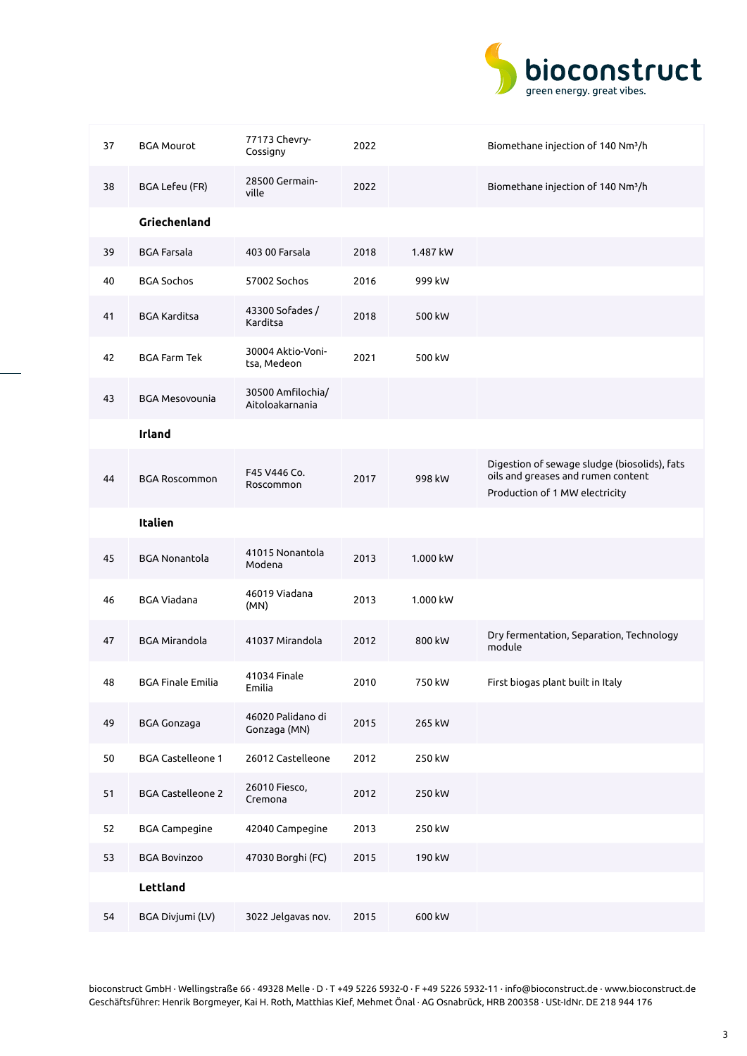

| 37 | <b>BGA Mourot</b>        | 77173 Chevry-<br>Cossigny            | 2022 |          | Biomethane injection of 140 Nm <sup>3</sup> /h                                                                       |
|----|--------------------------|--------------------------------------|------|----------|----------------------------------------------------------------------------------------------------------------------|
| 38 | BGA Lefeu (FR)           | 28500 Germain-<br>ville              | 2022 |          | Biomethane injection of 140 Nm <sup>3</sup> /h                                                                       |
|    | Griechenland             |                                      |      |          |                                                                                                                      |
| 39 | <b>BGA Farsala</b>       | 403 00 Farsala                       | 2018 | 1.487 kW |                                                                                                                      |
| 40 | <b>BGA Sochos</b>        | 57002 Sochos                         | 2016 | 999 kW   |                                                                                                                      |
| 41 | <b>BGA Karditsa</b>      | 43300 Sofades /<br>Karditsa          | 2018 | 500 kW   |                                                                                                                      |
| 42 | <b>BGA Farm Tek</b>      | 30004 Aktio-Voni-<br>tsa, Medeon     | 2021 | 500 kW   |                                                                                                                      |
| 43 | <b>BGA Mesovounia</b>    | 30500 Amfilochia/<br>Aitoloakarnania |      |          |                                                                                                                      |
|    | <b>Irland</b>            |                                      |      |          |                                                                                                                      |
| 44 | <b>BGA Roscommon</b>     | F45 V446 Co.<br>Roscommon            | 2017 | 998 kW   | Digestion of sewage sludge (biosolids), fats<br>oils and greases and rumen content<br>Production of 1 MW electricity |
|    | Italien                  |                                      |      |          |                                                                                                                      |
| 45 | <b>BGA Nonantola</b>     | 41015 Nonantola<br>Modena            | 2013 | 1.000 kW |                                                                                                                      |
| 46 | <b>BGA Viadana</b>       | 46019 Viadana<br>(MN)                | 2013 | 1.000 kW |                                                                                                                      |
| 47 | <b>BGA Mirandola</b>     | 41037 Mirandola                      | 2012 | 800 kW   | Dry fermentation, Separation, Technology<br>module                                                                   |
| 48 | <b>BGA Finale Emilia</b> | 41034 Finale<br>Emilia               | 2010 | 750 kW   | First biogas plant built in Italy                                                                                    |
| 49 | <b>BGA Gonzaga</b>       | 46020 Palidano di<br>Gonzaga (MN)    | 2015 | 265 kW   |                                                                                                                      |
| 50 | <b>BGA Castelleone 1</b> | 26012 Castelleone                    | 2012 | 250 kW   |                                                                                                                      |
| 51 | <b>BGA Castelleone 2</b> | 26010 Fiesco,<br>Cremona             | 2012 | 250 kW   |                                                                                                                      |
| 52 | <b>BGA Campegine</b>     | 42040 Campegine                      | 2013 | 250 kW   |                                                                                                                      |
| 53 | <b>BGA Bovinzoo</b>      | 47030 Borghi (FC)                    | 2015 | 190 kW   |                                                                                                                      |
|    | Lettland                 |                                      |      |          |                                                                                                                      |
| 54 | BGA Divjumi (LV)         | 3022 Jelgavas nov.                   | 2015 | 600 kW   |                                                                                                                      |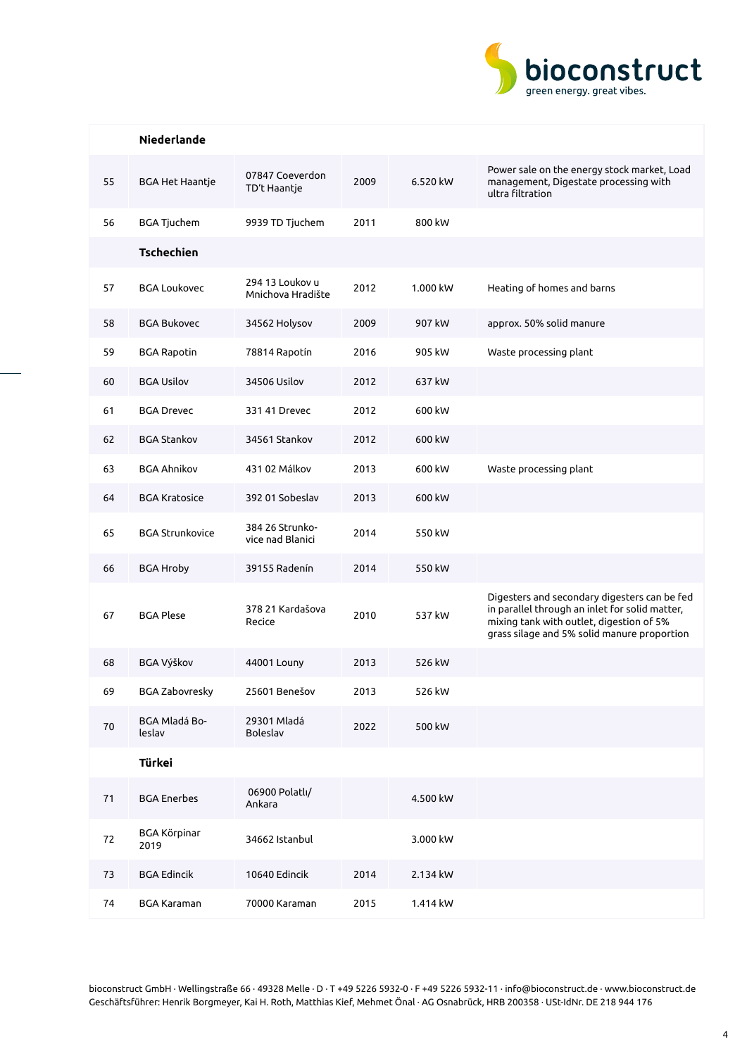

|    | <b>Niederlande</b>          |                                      |      |          |                                                                                                                                                                                           |
|----|-----------------------------|--------------------------------------|------|----------|-------------------------------------------------------------------------------------------------------------------------------------------------------------------------------------------|
| 55 | <b>BGA Het Haantje</b>      | 07847 Coeverdon<br>TD't Haantje      | 2009 | 6.520 kW | Power sale on the energy stock market, Load<br>management, Digestate processing with<br>ultra filtration                                                                                  |
| 56 | <b>BGA Tjuchem</b>          | 9939 TD Tjuchem                      | 2011 | 800 kW   |                                                                                                                                                                                           |
|    | <b>Tschechien</b>           |                                      |      |          |                                                                                                                                                                                           |
| 57 | <b>BGA Loukovec</b>         | 294 13 Loukov u<br>Mnichova Hradište | 2012 | 1.000 kW | Heating of homes and barns                                                                                                                                                                |
| 58 | <b>BGA Bukovec</b>          | 34562 Holysov                        | 2009 | 907 kW   | approx. 50% solid manure                                                                                                                                                                  |
| 59 | <b>BGA Rapotin</b>          | 78814 Rapotín                        | 2016 | 905 kW   | Waste processing plant                                                                                                                                                                    |
| 60 | <b>BGA Usilov</b>           | 34506 Usilov                         | 2012 | 637 kW   |                                                                                                                                                                                           |
| 61 | <b>BGA Drevec</b>           | 331 41 Drevec                        | 2012 | 600 kW   |                                                                                                                                                                                           |
| 62 | <b>BGA Stankov</b>          | 34561 Stankov                        | 2012 | 600 kW   |                                                                                                                                                                                           |
| 63 | <b>BGA Ahnikov</b>          | 431 02 Málkov                        | 2013 | 600 kW   | Waste processing plant                                                                                                                                                                    |
| 64 | <b>BGA Kratosice</b>        | 392 01 Sobeslav                      | 2013 | 600 kW   |                                                                                                                                                                                           |
| 65 | <b>BGA Strunkovice</b>      | 384 26 Strunko-<br>vice nad Blanici  | 2014 | 550 kW   |                                                                                                                                                                                           |
| 66 | <b>BGA Hroby</b>            | 39155 Radenín                        | 2014 | 550 kW   |                                                                                                                                                                                           |
| 67 | <b>BGA Plese</b>            | 378 21 Kardašova<br>Recice           | 2010 | 537 kW   | Digesters and secondary digesters can be fed<br>in parallel through an inlet for solid matter,<br>mixing tank with outlet, digestion of 5%<br>grass silage and 5% solid manure proportion |
| 68 | <b>BGA Výškov</b>           | 44001 Louny                          | 2013 | 526 kW   |                                                                                                                                                                                           |
| 69 | <b>BGA Zabovresky</b>       | 25601 Benešov                        | 2013 | 526 kW   |                                                                                                                                                                                           |
| 70 | BGA Mladá Bo-<br>leslav     | 29301 Mladá<br><b>Boleslav</b>       | 2022 | 500 kW   |                                                                                                                                                                                           |
|    | <b>Türkei</b>               |                                      |      |          |                                                                                                                                                                                           |
| 71 | <b>BGA Enerbes</b>          | 06900 Polatlı/<br>Ankara             |      | 4.500 kW |                                                                                                                                                                                           |
| 72 | <b>BGA Körpinar</b><br>2019 | 34662 Istanbul                       |      | 3.000 kW |                                                                                                                                                                                           |
| 73 | <b>BGA Edincik</b>          | 10640 Edincik                        | 2014 | 2.134 kW |                                                                                                                                                                                           |
| 74 | <b>BGA Karaman</b>          | 70000 Karaman                        | 2015 | 1.414 kW |                                                                                                                                                                                           |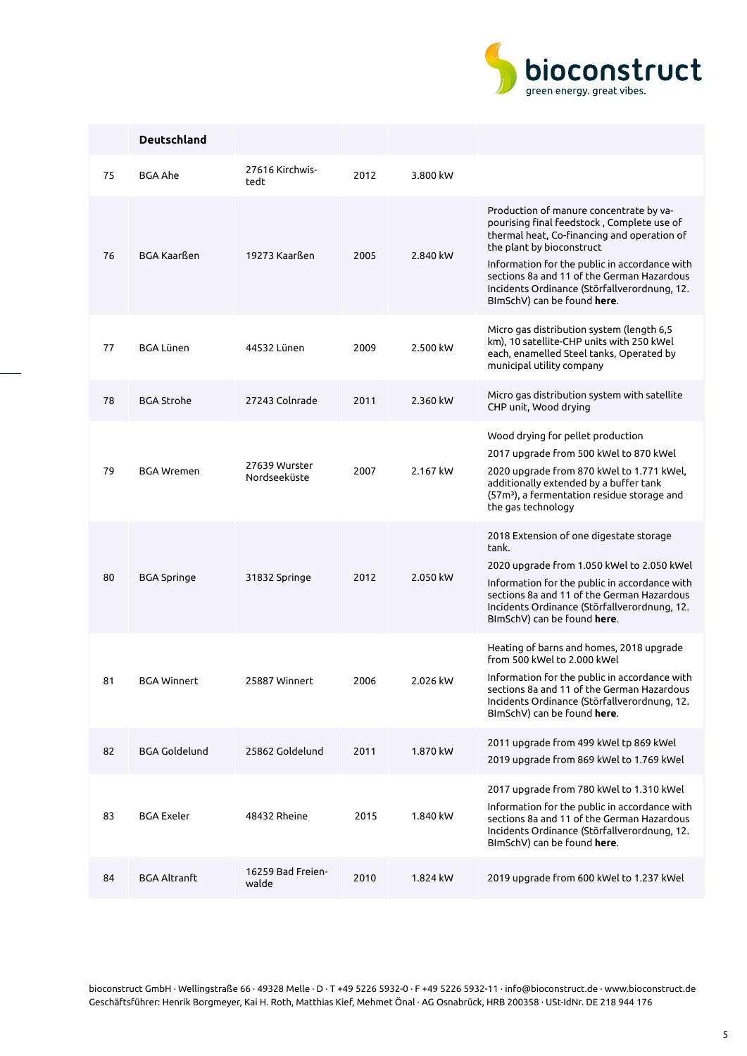

|    | <b>Deutschland</b>   |                               |      |          |                                                                                                                                                                                                                                                                                                                                                 |
|----|----------------------|-------------------------------|------|----------|-------------------------------------------------------------------------------------------------------------------------------------------------------------------------------------------------------------------------------------------------------------------------------------------------------------------------------------------------|
| 75 | BGA Ahe              | 27616 Kirchwis-<br>tedt       | 2012 | 3.800 kW |                                                                                                                                                                                                                                                                                                                                                 |
| 76 | <b>BGA Kaarßen</b>   | 19273 Kaarßen                 | 2005 | 2.840 kW | Production of manure concentrate by va-<br>pourising final feedstock, Complete use of<br>thermal heat, Co-financing and operation of<br>the plant by bioconstruct<br>Information for the public in accordance with<br>sections 8a and 11 of the German Hazardous<br>Incidents Ordinance (Störfallverordnung, 12.<br>BImSchV) can be found here. |
| 77 | <b>BGA Lünen</b>     | 44532 Lünen                   | 2009 | 2.500 kW | Micro gas distribution system (length 6,5<br>km), 10 satellite-CHP units with 250 kWel<br>each, enamelled Steel tanks, Operated by<br>municipal utility company                                                                                                                                                                                 |
| 78 | <b>BGA Strohe</b>    | 27243 Colnrade                | 2011 | 2.360 kW | Micro gas distribution system with satellite<br>CHP unit, Wood drying                                                                                                                                                                                                                                                                           |
| 79 | <b>BGA Wremen</b>    | 27639 Wurster<br>Nordseeküste | 2007 | 2.167 kW | Wood drying for pellet production<br>2017 upgrade from 500 kWel to 870 kWel<br>2020 upgrade from 870 kWel to 1.771 kWel,<br>additionally extended by a buffer tank<br>(57m <sup>3</sup> ), a fermentation residue storage and<br>the gas technology                                                                                             |
| 80 | <b>BGA Springe</b>   | 31832 Springe                 | 2012 | 2.050 kW | 2018 Extension of one digestate storage<br>tank.<br>2020 upgrade from 1.050 kWel to 2.050 kWel<br>Information for the public in accordance with<br>sections 8a and 11 of the German Hazardous<br>Incidents Ordinance (Störfallverordnung, 12.<br>BImSchV) can be found here.                                                                    |
| 81 | <b>BGA Winnert</b>   | 25887 Winnert                 | 2006 | 2.026 kW | Heating of barns and homes, 2018 upgrade<br>from 500 kWel to 2.000 kWel<br>Information for the public in accordance with<br>sections 8a and 11 of the German Hazardous<br>Incidents Ordinance (Störfallverordnung, 12.<br>BImSchV) can be found here.                                                                                           |
| 82 | <b>BGA Goldelund</b> | 25862 Goldelund               | 2011 | 1.870 kW | 2011 upgrade from 499 kWel tp 869 kWel<br>2019 upgrade from 869 kWel to 1.769 kWel                                                                                                                                                                                                                                                              |
| 83 | <b>BGA Exeler</b>    | 48432 Rheine                  | 2015 | 1.840 kW | 2017 upgrade from 780 kWel to 1.310 kWel<br>Information for the public in accordance with<br>sections 8a and 11 of the German Hazardous<br>Incidents Ordinance (Störfallverordnung, 12.<br>BImSchV) can be found here.                                                                                                                          |
| 84 | <b>BGA Altranft</b>  | 16259 Bad Freien-<br>walde    | 2010 | 1.824 kW | 2019 upgrade from 600 kWel to 1.237 kWel                                                                                                                                                                                                                                                                                                        |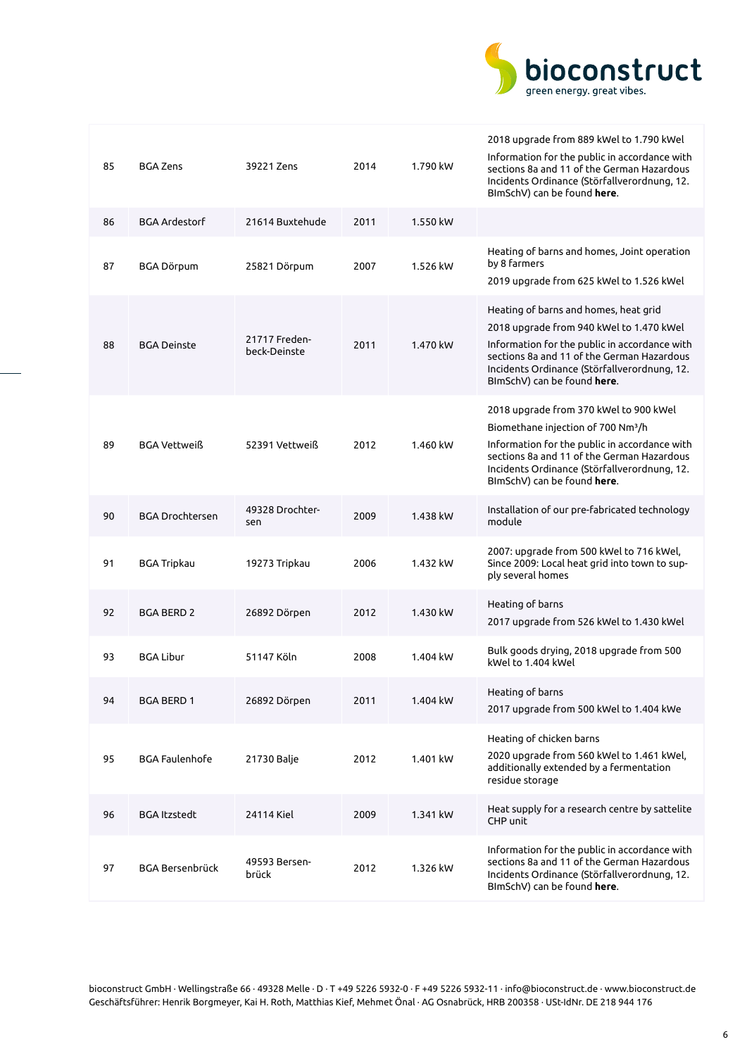

| 85 | <b>BGA Zens</b>        | 39221 Zens                    | 2014 | 1.790 kW | 2018 upgrade from 889 kWel to 1.790 kWel<br>Information for the public in accordance with<br>sections 8a and 11 of the German Hazardous<br>Incidents Ordinance (Störfallverordnung, 12.<br>BImSchV) can be found here.                                                 |
|----|------------------------|-------------------------------|------|----------|------------------------------------------------------------------------------------------------------------------------------------------------------------------------------------------------------------------------------------------------------------------------|
| 86 | <b>BGA Ardestorf</b>   | 21614 Buxtehude               | 2011 | 1.550 kW |                                                                                                                                                                                                                                                                        |
| 87 | BGA Dörpum             | 25821 Dörpum                  | 2007 | 1.526 kW | Heating of barns and homes, Joint operation<br>by 8 farmers<br>2019 upgrade from 625 kWel to 1.526 kWel                                                                                                                                                                |
| 88 | <b>BGA Deinste</b>     | 21717 Freden-<br>beck-Deinste | 2011 | 1.470 kW | Heating of barns and homes, heat grid<br>2018 upgrade from 940 kWel to 1.470 kWel<br>Information for the public in accordance with<br>sections 8a and 11 of the German Hazardous<br>Incidents Ordinance (Störfallverordnung, 12.<br>BImSchV) can be found here.        |
| 89 | BGA Vettweiß           | 52391 Vettweiß                | 2012 | 1.460 kW | 2018 upgrade from 370 kWel to 900 kWel<br>Biomethane injection of 700 Nm <sup>3</sup> /h<br>Information for the public in accordance with<br>sections 8a and 11 of the German Hazardous<br>Incidents Ordinance (Störfallverordnung, 12.<br>BImSchV) can be found here. |
| 90 | <b>BGA Drochtersen</b> | 49328 Drochter-<br>sen        | 2009 | 1.438 kW | Installation of our pre-fabricated technology<br>module                                                                                                                                                                                                                |
| 91 | BGA Tripkau            | 19273 Tripkau                 | 2006 | 1.432 kW | 2007: upgrade from 500 kWel to 716 kWel,<br>Since 2009: Local heat grid into town to sup-<br>ply several homes                                                                                                                                                         |
| 92 | <b>BGA BERD 2</b>      | 26892 Dörpen                  | 2012 | 1.430 kW | Heating of barns<br>2017 upgrade from 526 kWel to 1.430 kWel                                                                                                                                                                                                           |
| 93 | <b>BGA Libur</b>       | 51147 Köln                    | 2008 | 1.404 kW | Bulk goods drying, 2018 upgrade from 500<br>kWel to 1.404 kWel                                                                                                                                                                                                         |
| 94 | BGA BERD 1             | 26892 Dörpen                  | 2011 | 1.404 kW | Heating of barns<br>2017 upgrade from 500 kWel to 1.404 kWe                                                                                                                                                                                                            |
| 95 | <b>BGA Faulenhofe</b>  | 21730 Balje                   | 2012 | 1.401 kW | Heating of chicken barns<br>2020 upgrade from 560 kWel to 1.461 kWel,<br>additionally extended by a fermentation<br>residue storage                                                                                                                                    |
| 96 | <b>BGA Itzstedt</b>    | 24114 Kiel                    | 2009 | 1.341 kW | Heat supply for a research centre by sattelite<br>CHP unit                                                                                                                                                                                                             |
| 97 | BGA Bersenbrück        | 49593 Bersen-<br>brück        | 2012 | 1.326 kW | Information for the public in accordance with<br>sections 8a and 11 of the German Hazardous<br>Incidents Ordinance (Störfallverordnung, 12.<br>BImSchV) can be found here.                                                                                             |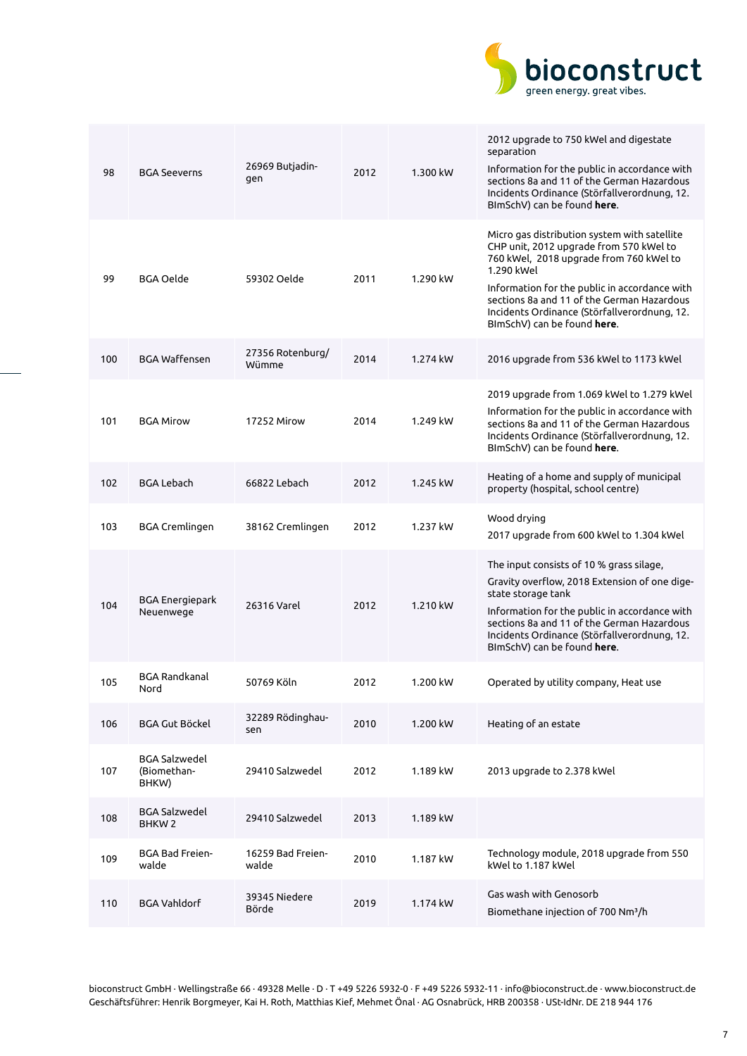

| 98  | <b>BGA Seeverns</b>                          | 26969 Butjadin-<br>gen     | 2012 | 1.300 kW | 2012 upgrade to 750 kWel and digestate<br>separation<br>Information for the public in accordance with<br>sections 8a and 11 of the German Hazardous<br>Incidents Ordinance (Störfallverordnung, 12.<br>BImSchV) can be found here.                                                                                             |
|-----|----------------------------------------------|----------------------------|------|----------|--------------------------------------------------------------------------------------------------------------------------------------------------------------------------------------------------------------------------------------------------------------------------------------------------------------------------------|
| 99  | BGA Oelde                                    | 59302 Oelde                | 2011 | 1.290 kW | Micro gas distribution system with satellite<br>CHP unit, 2012 upgrade from 570 kWel to<br>760 kWel, 2018 upgrade from 760 kWel to<br>1.290 kWel<br>Information for the public in accordance with<br>sections 8a and 11 of the German Hazardous<br>Incidents Ordinance (Störfallverordnung, 12.<br>BImSchV) can be found here. |
| 100 | <b>BGA Waffensen</b>                         | 27356 Rotenburg/<br>Wümme  | 2014 | 1.274 kW | 2016 upgrade from 536 kWel to 1173 kWel                                                                                                                                                                                                                                                                                        |
| 101 | <b>BGA Mirow</b>                             | 17252 Mirow                | 2014 | 1.249 kW | 2019 upgrade from 1.069 kWel to 1.279 kWel<br>Information for the public in accordance with<br>sections 8a and 11 of the German Hazardous<br>Incidents Ordinance (Störfallverordnung, 12.<br>BImSchV) can be found here.                                                                                                       |
| 102 | <b>BGA Lebach</b>                            | 66822 Lebach               | 2012 | 1.245 kW | Heating of a home and supply of municipal<br>property (hospital, school centre)                                                                                                                                                                                                                                                |
| 103 | BGA Cremlingen                               | 38162 Cremlingen           | 2012 | 1.237 kW | Wood drying<br>2017 upgrade from 600 kWel to 1.304 kWel                                                                                                                                                                                                                                                                        |
| 104 | <b>BGA Energiepark</b><br>Neuenwege          | 26316 Varel                | 2012 | 1.210 kW | The input consists of 10 % grass silage,<br>Gravity overflow, 2018 Extension of one dige-<br>state storage tank<br>Information for the public in accordance with<br>sections 8a and 11 of the German Hazardous<br>Incidents Ordinance (Störfallverordnung, 12.<br>BImSchV) can be found here.                                  |
| 105 | <b>BGA Randkanal</b><br>Nord                 | 50769 Köln                 | 2012 | 1.200 kW | Operated by utility company, Heat use                                                                                                                                                                                                                                                                                          |
| 106 | <b>BGA Gut Böckel</b>                        | 32289 Rödinghau-<br>sen    | 2010 | 1.200 kW | Heating of an estate                                                                                                                                                                                                                                                                                                           |
| 107 | <b>BGA Salzwedel</b><br>(Biomethan-<br>BHKW) | 29410 Salzwedel            | 2012 | 1.189 kW | 2013 upgrade to 2.378 kWel                                                                                                                                                                                                                                                                                                     |
| 108 | <b>BGA Salzwedel</b><br>BHKW <sub>2</sub>    | 29410 Salzwedel            | 2013 | 1.189 kW |                                                                                                                                                                                                                                                                                                                                |
| 109 | <b>BGA Bad Freien-</b><br>walde              | 16259 Bad Freien-<br>walde | 2010 | 1.187 kW | Technology module, 2018 upgrade from 550<br>kWel to 1.187 kWel                                                                                                                                                                                                                                                                 |
| 110 | <b>BGA Vahldorf</b>                          | 39345 Niedere<br>Börde     | 2019 | 1.174 kW | Gas wash with Genosorb<br>Biomethane injection of 700 Nm <sup>3</sup> /h                                                                                                                                                                                                                                                       |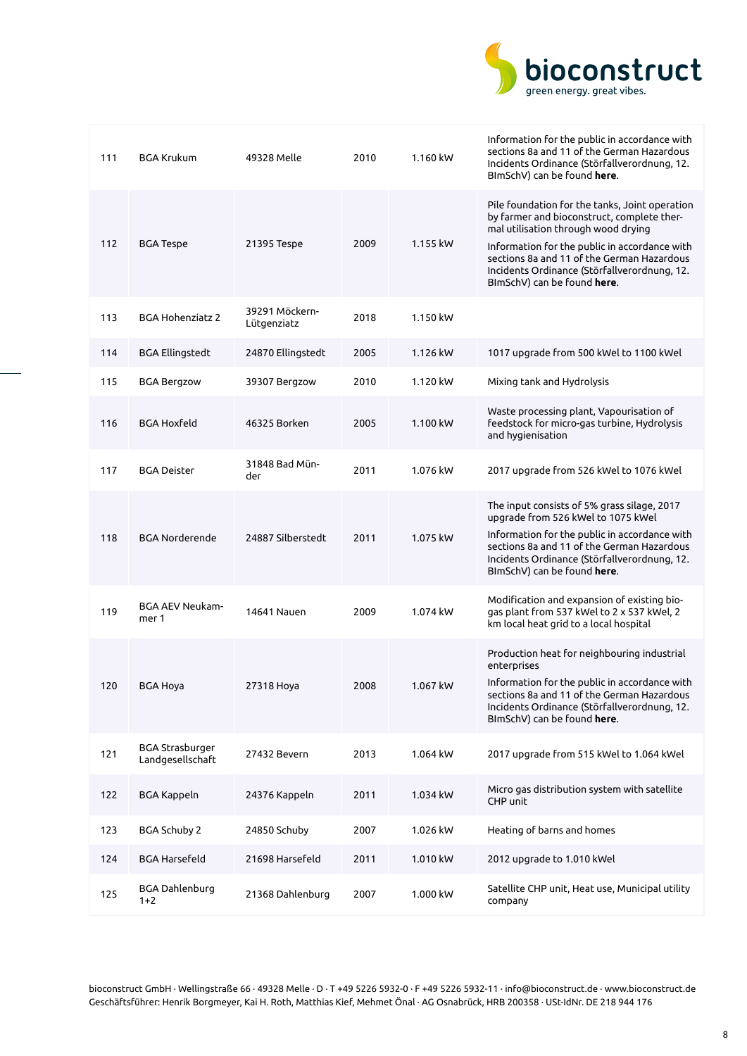

| 111 | <b>BGA Krukum</b>                          | 49328 Melle                   | 2010 | 1.160 kW | Information for the public in accordance with<br>sections 8a and 11 of the German Hazardous<br>Incidents Ordinance (Störfallverordnung, 12.<br>BImSchV) can be found here.                                                                                                                                        |
|-----|--------------------------------------------|-------------------------------|------|----------|-------------------------------------------------------------------------------------------------------------------------------------------------------------------------------------------------------------------------------------------------------------------------------------------------------------------|
| 112 | <b>BGA Tespe</b>                           | 21395 Tespe                   | 2009 | 1.155 kW | Pile foundation for the tanks, Joint operation<br>by farmer and bioconstruct, complete ther-<br>mal utilisation through wood drying<br>Information for the public in accordance with<br>sections 8a and 11 of the German Hazardous<br>Incidents Ordinance (Störfallverordnung, 12.<br>BImSchV) can be found here. |
| 113 | <b>BGA Hohenziatz 2</b>                    | 39291 Möckern-<br>Lütgenziatz | 2018 | 1.150 kW |                                                                                                                                                                                                                                                                                                                   |
| 114 | <b>BGA Ellingstedt</b>                     | 24870 Ellingstedt             | 2005 | 1.126 kW | 1017 upgrade from 500 kWel to 1100 kWel                                                                                                                                                                                                                                                                           |
| 115 | <b>BGA Bergzow</b>                         | 39307 Bergzow                 | 2010 | 1.120 kW | Mixing tank and Hydrolysis                                                                                                                                                                                                                                                                                        |
| 116 | <b>BGA Hoxfeld</b>                         | 46325 Borken                  | 2005 | 1.100 kW | Waste processing plant, Vapourisation of<br>feedstock for micro-gas turbine, Hydrolysis<br>and hygienisation                                                                                                                                                                                                      |
| 117 | <b>BGA Deister</b>                         | 31848 Bad Mün-<br>der         | 2011 | 1.076 kW | 2017 upgrade from 526 kWel to 1076 kWel                                                                                                                                                                                                                                                                           |
| 118 | <b>BGA Norderende</b>                      | 24887 Silberstedt             | 2011 | 1.075 kW | The input consists of 5% grass silage, 2017<br>upgrade from 526 kWel to 1075 kWel<br>Information for the public in accordance with<br>sections 8a and 11 of the German Hazardous<br>Incidents Ordinance (Störfallverordnung, 12.<br>BImSchV) can be found here.                                                   |
| 119 | <b>BGA AEV Neukam-</b><br>mer 1            | 14641 Nauen                   | 2009 | 1.074 kW | Modification and expansion of existing bio-<br>gas plant from 537 kWel to 2 x 537 kWel, 2<br>km local heat grid to a local hospital                                                                                                                                                                               |
| 120 | <b>BGA Hoya</b>                            | 27318 Hoya                    | 2008 | 1.067 kW | Production heat for neighbouring industrial<br>enterprises<br>Information for the public in accordance with<br>sections 8a and 11 of the German Hazardous<br>Incidents Ordinance (Störfallverordnung, 12.<br>BImSchV) can be found here.                                                                          |
| 121 | <b>BGA Strasburger</b><br>Landgesellschaft | 27432 Bevern                  | 2013 | 1.064 kW | 2017 upgrade from 515 kWel to 1.064 kWel                                                                                                                                                                                                                                                                          |
| 122 | <b>BGA Kappeln</b>                         | 24376 Kappeln                 | 2011 | 1.034 kW | Micro gas distribution system with satellite<br>CHP unit                                                                                                                                                                                                                                                          |
| 123 | <b>BGA Schuby 2</b>                        | 24850 Schuby                  | 2007 | 1.026 kW | Heating of barns and homes                                                                                                                                                                                                                                                                                        |
| 124 | <b>BGA Harsefeld</b>                       | 21698 Harsefeld               | 2011 | 1.010 kW | 2012 upgrade to 1.010 kWel                                                                                                                                                                                                                                                                                        |
| 125 | <b>BGA Dahlenburg</b><br>$1+2$             | 21368 Dahlenburg              | 2007 | 1.000 kW | Satellite CHP unit, Heat use, Municipal utility<br>company                                                                                                                                                                                                                                                        |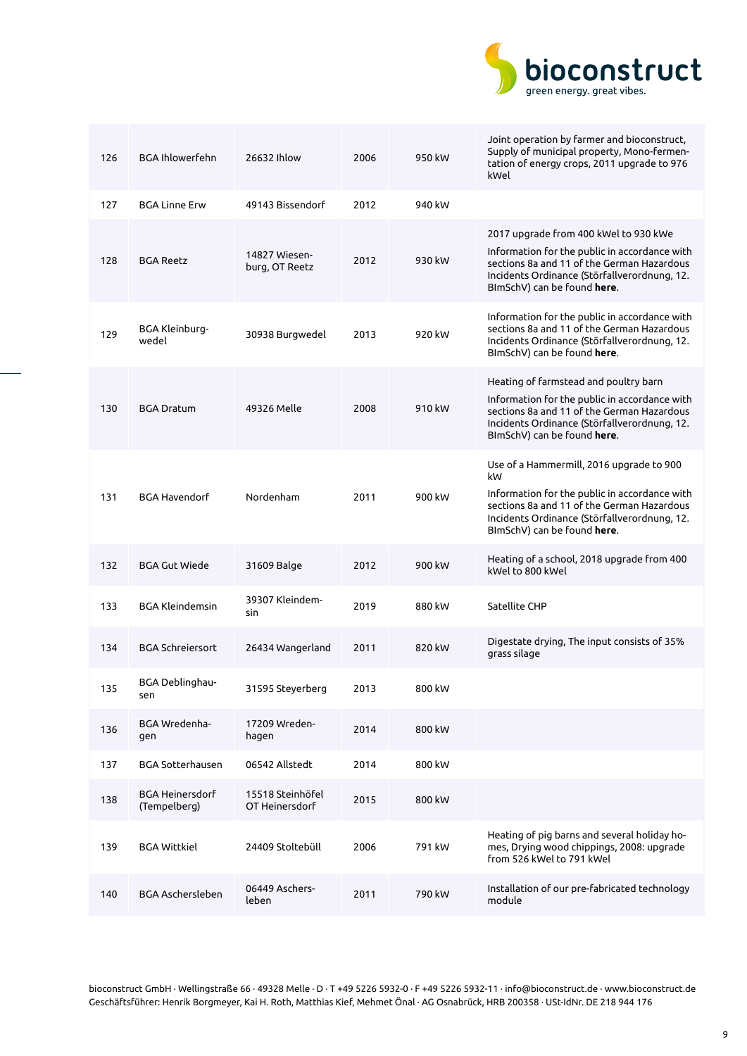

| 126 | <b>BGA Ihlowerfehn</b>                 | 26632 Ihlow                        | 2006 | 950 kW | Joint operation by farmer and bioconstruct,<br>Supply of municipal property, Mono-fermen-<br>tation of energy crops, 2011 upgrade to 976<br>kWel                                                                             |
|-----|----------------------------------------|------------------------------------|------|--------|------------------------------------------------------------------------------------------------------------------------------------------------------------------------------------------------------------------------------|
| 127 | <b>BGA Linne Erw</b>                   | 49143 Bissendorf                   | 2012 | 940 kW |                                                                                                                                                                                                                              |
| 128 | <b>BGA Reetz</b>                       | 14827 Wiesen-<br>burg, OT Reetz    | 2012 | 930 kW | 2017 upgrade from 400 kWel to 930 kWe<br>Information for the public in accordance with<br>sections 8a and 11 of the German Hazardous<br>Incidents Ordinance (Störfallverordnung, 12.<br>BImSchV) can be found here.          |
| 129 | BGA Kleinburg-<br>wedel                | 30938 Burgwedel                    | 2013 | 920 kW | Information for the public in accordance with<br>sections 8a and 11 of the German Hazardous<br>Incidents Ordinance (Störfallverordnung, 12.<br>BImSchV) can be found here.                                                   |
| 130 | <b>BGA Dratum</b>                      | 49326 Melle                        | 2008 | 910 kW | Heating of farmstead and poultry barn<br>Information for the public in accordance with<br>sections 8a and 11 of the German Hazardous<br>Incidents Ordinance (Störfallverordnung, 12.<br>BImSchV) can be found here.          |
| 131 | <b>BGA Havendorf</b>                   | Nordenham                          | 2011 | 900 kW | Use of a Hammermill, 2016 upgrade to 900<br>kW<br>Information for the public in accordance with<br>sections 8a and 11 of the German Hazardous<br>Incidents Ordinance (Störfallverordnung, 12.<br>BImSchV) can be found here. |
| 132 | <b>BGA Gut Wiede</b>                   | 31609 Balge                        | 2012 | 900 kW | Heating of a school, 2018 upgrade from 400<br>kWel to 800 kWel                                                                                                                                                               |
| 133 | <b>BGA Kleindemsin</b>                 | 39307 Kleindem-<br>sin             | 2019 | 880 kW | Satellite CHP                                                                                                                                                                                                                |
| 134 | <b>BGA Schreiersort</b>                | 26434 Wangerland                   | 2011 | 820 kW | Digestate drying, The input consists of 35%<br>grass silage                                                                                                                                                                  |
| 135 | BGA Deblinghau-<br>sen                 | 31595 Steyerberg                   | 2013 | 800 kW |                                                                                                                                                                                                                              |
| 136 | BGA Wredenha-<br>gen                   | 17209 Wreden-<br>hagen             | 2014 | 800 kW |                                                                                                                                                                                                                              |
| 137 | <b>BGA Sotterhausen</b>                | 06542 Allstedt                     | 2014 | 800 kW |                                                                                                                                                                                                                              |
| 138 | <b>BGA Heinersdorf</b><br>(Tempelberg) | 15518 Steinhöfel<br>OT Heinersdorf | 2015 | 800 kW |                                                                                                                                                                                                                              |
| 139 | <b>BGA Wittkiel</b>                    | 24409 Stoltebüll                   | 2006 | 791 kW | Heating of pig barns and several holiday ho-<br>mes, Drying wood chippings, 2008: upgrade<br>from 526 kWel to 791 kWel                                                                                                       |
| 140 | BGA Aschersleben                       | 06449 Aschers-<br>leben            | 2011 | 790 kW | Installation of our pre-fabricated technology<br>module                                                                                                                                                                      |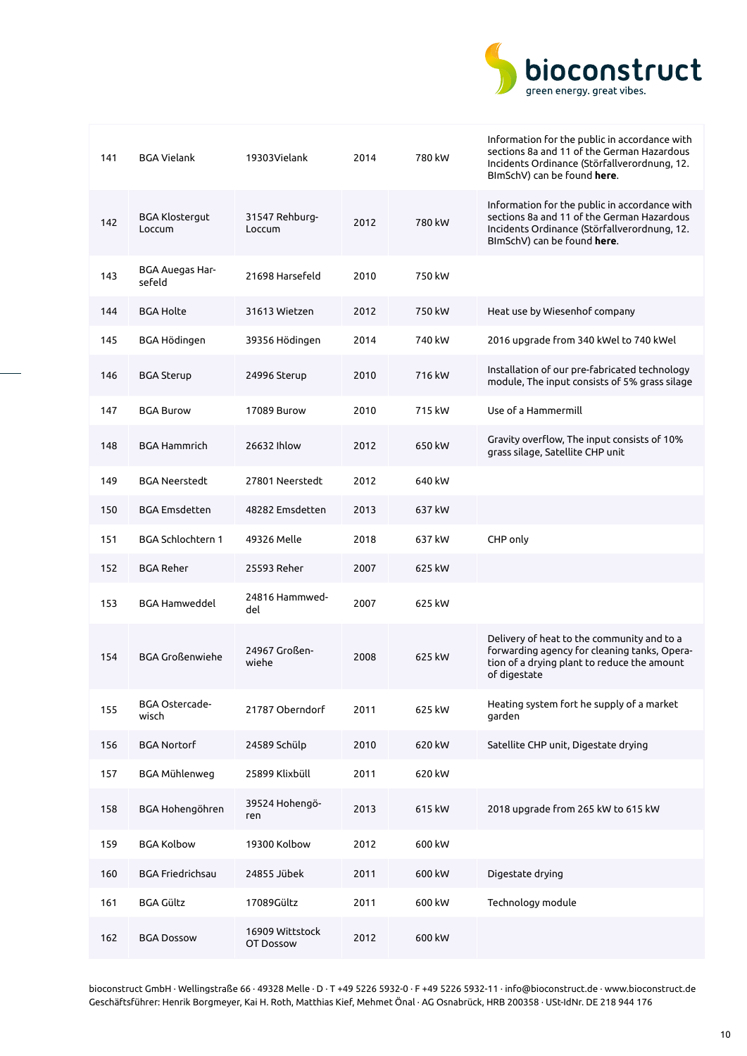

| 141 | <b>BGA Vielank</b>              | 19303Vielank                 | 2014 | 780 kW | Information for the public in accordance with<br>sections 8a and 11 of the German Hazardous<br>Incidents Ordinance (Störfallverordnung, 12.<br>BImSchV) can be found here. |
|-----|---------------------------------|------------------------------|------|--------|----------------------------------------------------------------------------------------------------------------------------------------------------------------------------|
| 142 | <b>BGA Klostergut</b><br>Loccum | 31547 Rehburg-<br>Loccum     | 2012 | 780 kW | Information for the public in accordance with<br>sections 8a and 11 of the German Hazardous<br>Incidents Ordinance (Störfallverordnung, 12.<br>BImSchV) can be found here. |
| 143 | BGA Auegas Har-<br>sefeld       | 21698 Harsefeld              | 2010 | 750 kW |                                                                                                                                                                            |
| 144 | <b>BGA Holte</b>                | 31613 Wietzen                | 2012 | 750 kW | Heat use by Wiesenhof company                                                                                                                                              |
| 145 | BGA Hödingen                    | 39356 Hödingen               | 2014 | 740 kW | 2016 upgrade from 340 kWel to 740 kWel                                                                                                                                     |
| 146 | <b>BGA Sterup</b>               | 24996 Sterup                 | 2010 | 716 kW | Installation of our pre-fabricated technology<br>module, The input consists of 5% grass silage                                                                             |
| 147 | <b>BGA Burow</b>                | 17089 Burow                  | 2010 | 715 kW | Use of a Hammermill                                                                                                                                                        |
| 148 | <b>BGA Hammrich</b>             | 26632 Ihlow                  | 2012 | 650 kW | Gravity overflow, The input consists of 10%<br>grass silage, Satellite CHP unit                                                                                            |
| 149 | <b>BGA Neerstedt</b>            | 27801 Neerstedt              | 2012 | 640 kW |                                                                                                                                                                            |
| 150 | <b>BGA Emsdetten</b>            | 48282 Emsdetten              | 2013 | 637 kW |                                                                                                                                                                            |
| 151 | <b>BGA Schlochtern 1</b>        | 49326 Melle                  | 2018 | 637 kW | CHP only                                                                                                                                                                   |
| 152 | <b>BGA Reher</b>                | 25593 Reher                  | 2007 | 625 kW |                                                                                                                                                                            |
| 153 | <b>BGA Hamweddel</b>            | 24816 Hammwed-<br>del        | 2007 | 625 kW |                                                                                                                                                                            |
| 154 | <b>BGA Großenwiehe</b>          | 24967 Großen-<br>wiehe       | 2008 | 625 kW | Delivery of heat to the community and to a<br>forwarding agency for cleaning tanks, Opera-<br>tion of a drying plant to reduce the amount<br>of digestate                  |
| 155 | BGA Ostercade-<br>wisch         | 21787 Oberndorf              | 2011 | 625 kW | Heating system fort he supply of a market<br>garden                                                                                                                        |
| 156 | <b>BGA Nortorf</b>              | 24589 Schülp                 | 2010 | 620 kW | Satellite CHP unit, Digestate drying                                                                                                                                       |
| 157 | <b>BGA Mühlenweg</b>            | 25899 Klixbüll               | 2011 | 620 kW |                                                                                                                                                                            |
| 158 | BGA Hohengöhren                 | 39524 Hohengö-<br>ren        | 2013 | 615 kW | 2018 upgrade from 265 kW to 615 kW                                                                                                                                         |
| 159 | <b>BGA Kolbow</b>               | 19300 Kolbow                 | 2012 | 600 kW |                                                                                                                                                                            |
| 160 | <b>BGA Friedrichsau</b>         | 24855 Jübek                  | 2011 | 600 kW | Digestate drying                                                                                                                                                           |
| 161 | <b>BGA Gültz</b>                | 17089Gültz                   | 2011 | 600 kW | Technology module                                                                                                                                                          |
| 162 | <b>BGA Dossow</b>               | 16909 Wittstock<br>OT Dossow | 2012 | 600 kW |                                                                                                                                                                            |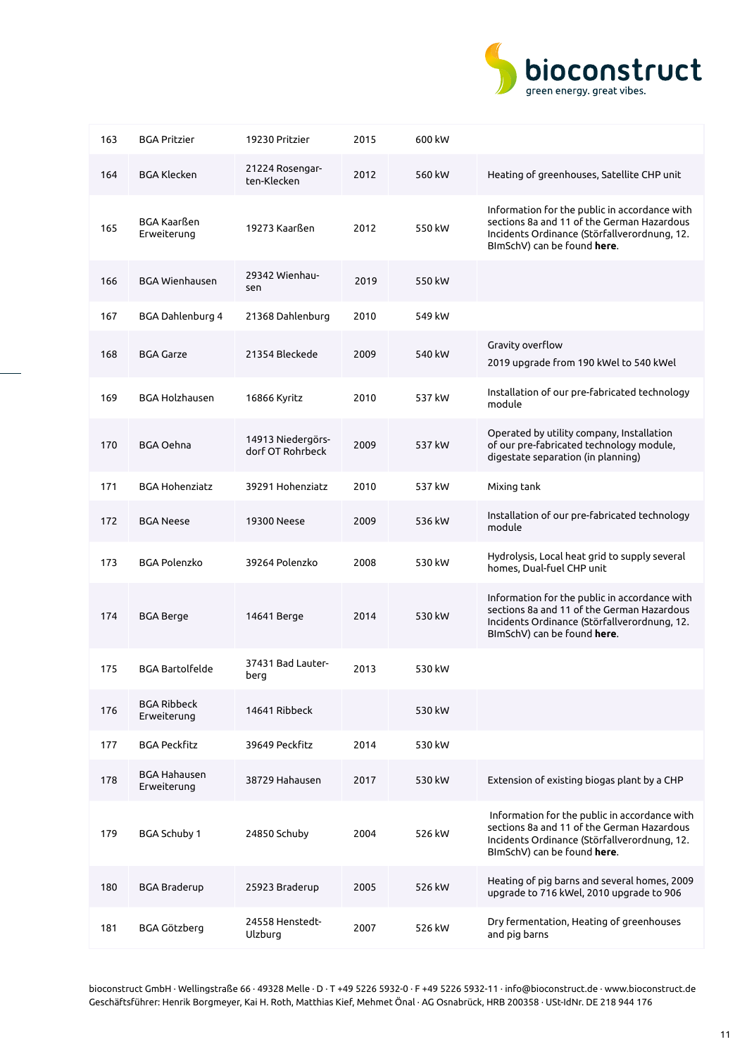

| 163 | <b>BGA Pritzier</b>                | 19230 Pritzier                        | 2015 | 600 kW |                                                                                                                                                                            |
|-----|------------------------------------|---------------------------------------|------|--------|----------------------------------------------------------------------------------------------------------------------------------------------------------------------------|
| 164 | <b>BGA Klecken</b>                 | 21224 Rosengar-<br>ten-Klecken        | 2012 | 560 kW | Heating of greenhouses, Satellite CHP unit                                                                                                                                 |
| 165 | BGA Kaarßen<br>Erweiterung         | 19273 Kaarßen                         | 2012 | 550 kW | Information for the public in accordance with<br>sections 8a and 11 of the German Hazardous<br>Incidents Ordinance (Störfallverordnung, 12.<br>BImSchV) can be found here. |
| 166 | <b>BGA Wienhausen</b>              | 29342 Wienhau-<br>sen                 | 2019 | 550 kW |                                                                                                                                                                            |
| 167 | BGA Dahlenburg 4                   | 21368 Dahlenburg                      | 2010 | 549 kW |                                                                                                                                                                            |
| 168 | <b>BGA Garze</b>                   | 21354 Bleckede                        | 2009 | 540 kW | Gravity overflow<br>2019 upgrade from 190 kWel to 540 kWel                                                                                                                 |
| 169 | <b>BGA Holzhausen</b>              | 16866 Kyritz                          | 2010 | 537 kW | Installation of our pre-fabricated technology<br>module                                                                                                                    |
| 170 | <b>BGA Oehna</b>                   | 14913 Niedergörs-<br>dorf OT Rohrbeck | 2009 | 537 kW | Operated by utility company, Installation<br>of our pre-fabricated technology module,<br>digestate separation (in planning)                                                |
| 171 | <b>BGA Hohenziatz</b>              | 39291 Hohenziatz                      | 2010 | 537 kW | Mixing tank                                                                                                                                                                |
| 172 | <b>BGA Neese</b>                   | 19300 Neese                           | 2009 | 536 kW | Installation of our pre-fabricated technology<br>module                                                                                                                    |
| 173 | <b>BGA Polenzko</b>                | 39264 Polenzko                        | 2008 | 530 kW | Hydrolysis, Local heat grid to supply several<br>homes, Dual-fuel CHP unit                                                                                                 |
| 174 | <b>BGA Berge</b>                   | 14641 Berge                           | 2014 | 530 kW | Information for the public in accordance with<br>sections 8a and 11 of the German Hazardous<br>Incidents Ordinance (Störfallverordnung, 12.<br>BImSchV) can be found here. |
| 175 | <b>BGA Bartolfelde</b>             | 37431 Bad Lauter-<br>berg             | 2013 | 530 kW |                                                                                                                                                                            |
| 176 | <b>BGA Ribbeck</b><br>Erweiterung  | 14641 Ribbeck                         |      | 530 kW |                                                                                                                                                                            |
| 177 | <b>BGA Peckfitz</b>                | 39649 Peckfitz                        | 2014 | 530 kW |                                                                                                                                                                            |
| 178 | <b>BGA Hahausen</b><br>Erweiterung | 38729 Hahausen                        | 2017 | 530 kW | Extension of existing biogas plant by a CHP                                                                                                                                |
| 179 | <b>BGA Schuby 1</b>                | 24850 Schuby                          | 2004 | 526 kW | Information for the public in accordance with<br>sections 8a and 11 of the German Hazardous<br>Incidents Ordinance (Störfallverordnung, 12.<br>BImSchV) can be found here. |
| 180 | <b>BGA Braderup</b>                | 25923 Braderup                        | 2005 | 526 kW | Heating of pig barns and several homes, 2009<br>upgrade to 716 kWel, 2010 upgrade to 906                                                                                   |
| 181 | BGA Götzberg                       | 24558 Henstedt-<br>Ulzburg            | 2007 | 526 kW | Dry fermentation, Heating of greenhouses<br>and pig barns                                                                                                                  |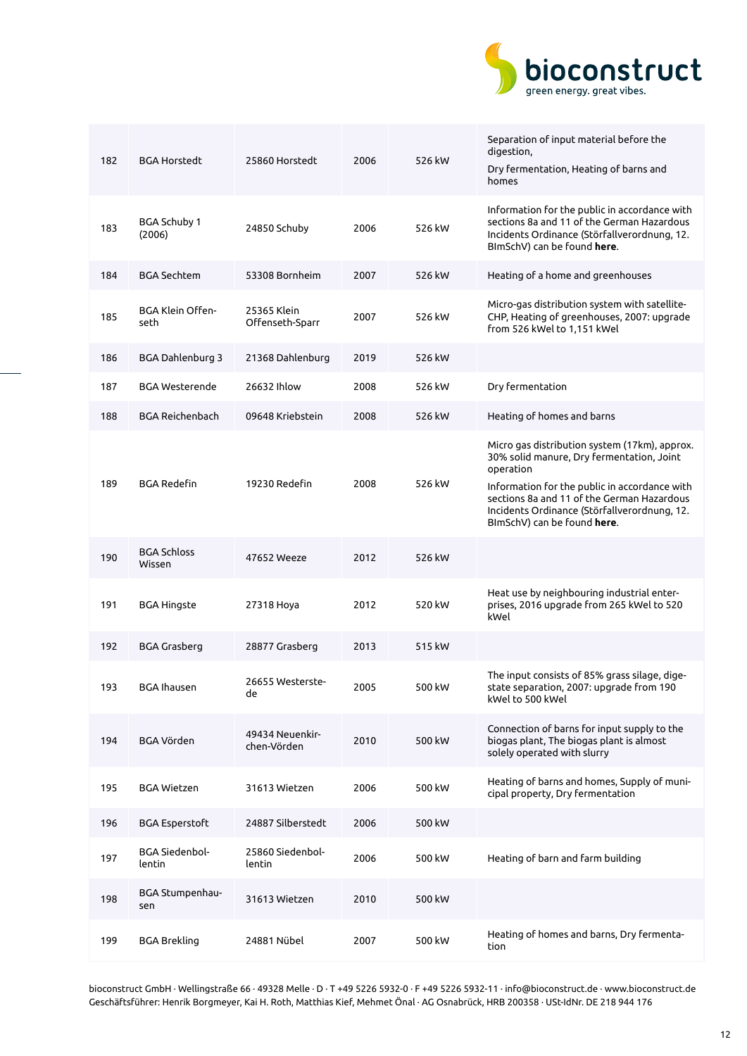

| 182 | <b>BGA Horstedt</b>             | 25860 Horstedt                 | 2006 | 526 kW | Separation of input material before the<br>digestion,<br>Dry fermentation, Heating of barns and<br>homes                                                                                                                                                                              |
|-----|---------------------------------|--------------------------------|------|--------|---------------------------------------------------------------------------------------------------------------------------------------------------------------------------------------------------------------------------------------------------------------------------------------|
| 183 | <b>BGA Schuby 1</b><br>(2006)   | 24850 Schuby                   | 2006 | 526 kW | Information for the public in accordance with<br>sections 8a and 11 of the German Hazardous<br>Incidents Ordinance (Störfallverordnung, 12.<br>BImSchV) can be found here.                                                                                                            |
| 184 | BGA Sechtem                     | 53308 Bornheim                 | 2007 | 526 kW | Heating of a home and greenhouses                                                                                                                                                                                                                                                     |
| 185 | <b>BGA Klein Offen-</b><br>seth | 25365 Klein<br>Offenseth-Sparr | 2007 | 526 kW | Micro-gas distribution system with satellite-<br>CHP, Heating of greenhouses, 2007: upgrade<br>from 526 kWel to 1,151 kWel                                                                                                                                                            |
| 186 | <b>BGA Dahlenburg 3</b>         | 21368 Dahlenburg               | 2019 | 526 kW |                                                                                                                                                                                                                                                                                       |
| 187 | <b>BGA Westerende</b>           | 26632 Ihlow                    | 2008 | 526 kW | Dry fermentation                                                                                                                                                                                                                                                                      |
| 188 | <b>BGA Reichenbach</b>          | 09648 Kriebstein               | 2008 | 526 kW | Heating of homes and barns                                                                                                                                                                                                                                                            |
| 189 | <b>BGA Redefin</b>              | 19230 Redefin                  | 2008 | 526 kW | Micro gas distribution system (17km), approx.<br>30% solid manure, Dry fermentation, Joint<br>operation<br>Information for the public in accordance with<br>sections 8a and 11 of the German Hazardous<br>Incidents Ordinance (Störfallverordnung, 12.<br>BImSchV) can be found here. |
| 190 | <b>BGA Schloss</b><br>Wissen    | 47652 Weeze                    | 2012 | 526 kW |                                                                                                                                                                                                                                                                                       |
| 191 | <b>BGA Hingste</b>              | 27318 Hoya                     | 2012 | 520 kW | Heat use by neighbouring industrial enter-<br>prises, 2016 upgrade from 265 kWel to 520<br>kWel                                                                                                                                                                                       |
| 192 | <b>BGA Grasberg</b>             | 28877 Grasberg                 | 2013 | 515 kW |                                                                                                                                                                                                                                                                                       |
| 193 | BGA Ihausen                     | 26655 Westerste-<br>de         | 2005 | 500 kW | The input consists of 85% grass silage, dige-<br>state separation, 2007: upgrade from 190<br>kWel to 500 kWel                                                                                                                                                                         |
| 194 | <b>BGA Vörden</b>               | 49434 Neuenkir-<br>chen-Vörden | 2010 | 500 kW | Connection of barns for input supply to the<br>biogas plant, The biogas plant is almost<br>solely operated with slurry                                                                                                                                                                |
| 195 | <b>BGA Wietzen</b>              | 31613 Wietzen                  | 2006 | 500 kW | Heating of barns and homes, Supply of muni-<br>cipal property, Dry fermentation                                                                                                                                                                                                       |
| 196 | <b>BGA</b> Esperstoft           | 24887 Silberstedt              | 2006 | 500 kW |                                                                                                                                                                                                                                                                                       |
| 197 | <b>BGA Siedenbol-</b><br>lentin | 25860 Siedenbol-<br>lentin     | 2006 | 500 kW | Heating of barn and farm building                                                                                                                                                                                                                                                     |
| 198 | BGA Stumpenhau-<br>sen          | 31613 Wietzen                  | 2010 | 500 kW |                                                                                                                                                                                                                                                                                       |
| 199 | <b>BGA Brekling</b>             | 24881 Nübel                    | 2007 | 500 kW | Heating of homes and barns, Dry fermenta-<br>tion                                                                                                                                                                                                                                     |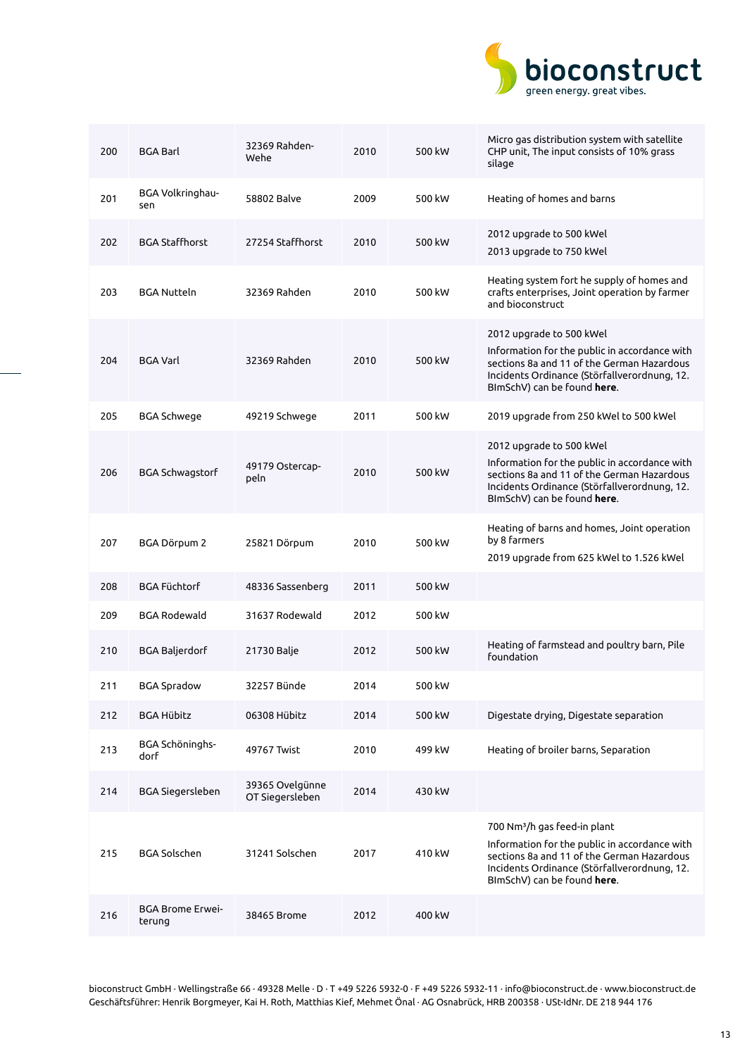

| 200 | <b>BGA Barl</b>                   | 32369 Rahden-<br>Wehe              | 2010 | 500 kW | Micro gas distribution system with satellite<br>CHP unit, The input consists of 10% grass<br>silage                                                                                                                    |
|-----|-----------------------------------|------------------------------------|------|--------|------------------------------------------------------------------------------------------------------------------------------------------------------------------------------------------------------------------------|
| 201 | BGA Volkringhau-<br>sen           | 58802 Balve                        | 2009 | 500 kW | Heating of homes and barns                                                                                                                                                                                             |
| 202 | <b>BGA Staffhorst</b>             | 27254 Staffhorst                   | 2010 | 500 kW | 2012 upgrade to 500 kWel<br>2013 upgrade to 750 kWel                                                                                                                                                                   |
| 203 | <b>BGA Nutteln</b>                | 32369 Rahden                       | 2010 | 500 kW | Heating system fort he supply of homes and<br>crafts enterprises, Joint operation by farmer<br>and bioconstruct                                                                                                        |
| 204 | <b>BGA Varl</b>                   | 32369 Rahden                       | 2010 | 500 kW | 2012 upgrade to 500 kWel<br>Information for the public in accordance with<br>sections 8a and 11 of the German Hazardous<br>Incidents Ordinance (Störfallverordnung, 12.<br>BImSchV) can be found here.                 |
| 205 | <b>BGA Schwege</b>                | 49219 Schwege                      | 2011 | 500 kW | 2019 upgrade from 250 kWel to 500 kWel                                                                                                                                                                                 |
| 206 | <b>BGA Schwagstorf</b>            | 49179 Ostercap-<br>peln            | 2010 | 500 kW | 2012 upgrade to 500 kWel<br>Information for the public in accordance with<br>sections 8a and 11 of the German Hazardous<br>Incidents Ordinance (Störfallverordnung, 12.<br>BImSchV) can be found <b>here</b> .         |
| 207 | BGA Dörpum 2                      | 25821 Dörpum                       | 2010 | 500 kW | Heating of barns and homes, Joint operation<br>by 8 farmers<br>2019 upgrade from 625 kWel to 1.526 kWel                                                                                                                |
| 208 | <b>BGA Füchtorf</b>               | 48336 Sassenberg                   | 2011 | 500 kW |                                                                                                                                                                                                                        |
| 209 | <b>BGA Rodewald</b>               | 31637 Rodewald                     | 2012 | 500 kW |                                                                                                                                                                                                                        |
| 210 | <b>BGA Baljerdorf</b>             | 21730 Balje                        | 2012 | 500 kW | Heating of farmstead and poultry barn, Pile<br>foundation                                                                                                                                                              |
| 211 | <b>BGA Spradow</b>                | 32257 Bünde                        | 2014 | 500 kW |                                                                                                                                                                                                                        |
| 212 | <b>BGA Hübitz</b>                 | 06308 Hübitz                       | 2014 | 500 kW | Digestate drying, Digestate separation                                                                                                                                                                                 |
| 213 | BGA Schöninghs-<br>dorf           | 49767 Twist                        | 2010 | 499 kW | Heating of broiler barns, Separation                                                                                                                                                                                   |
| 214 | BGA Siegersleben                  | 39365 Ovelgünne<br>OT Siegersleben | 2014 | 430 kW |                                                                                                                                                                                                                        |
| 215 | <b>BGA Solschen</b>               | 31241 Solschen                     | 2017 | 410 kW | 700 Nm <sup>3</sup> /h gas feed-in plant<br>Information for the public in accordance with<br>sections 8a and 11 of the German Hazardous<br>Incidents Ordinance (Störfallverordnung, 12.<br>BImSchV) can be found here. |
| 216 | <b>BGA Brome Erwei-</b><br>terung | 38465 Brome                        | 2012 | 400 kW |                                                                                                                                                                                                                        |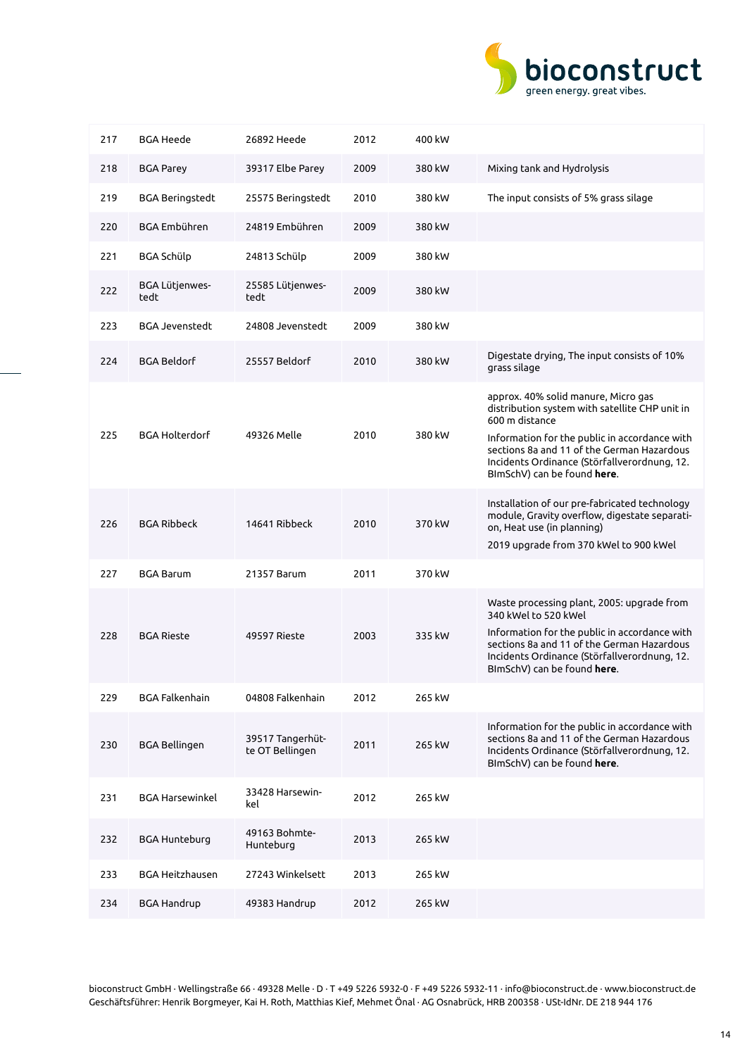

| 217 | BGA Heede              | 26892 Heede                         | 2012 | 400 kW |                                                                                                                                                                                                                                                                                       |
|-----|------------------------|-------------------------------------|------|--------|---------------------------------------------------------------------------------------------------------------------------------------------------------------------------------------------------------------------------------------------------------------------------------------|
| 218 | <b>BGA Parey</b>       | 39317 Elbe Parey                    | 2009 | 380 kW | Mixing tank and Hydrolysis                                                                                                                                                                                                                                                            |
| 219 | <b>BGA Beringstedt</b> | 25575 Beringstedt                   | 2010 | 380 kW | The input consists of 5% grass silage                                                                                                                                                                                                                                                 |
| 220 | BGA Embühren           | 24819 Embühren                      | 2009 | 380 kW |                                                                                                                                                                                                                                                                                       |
| 221 | BGA Schülp             | 24813 Schülp                        | 2009 | 380 kW |                                                                                                                                                                                                                                                                                       |
| 222 | BGA Lütjenwes-<br>tedt | 25585 Lütjenwes-<br>tedt            | 2009 | 380 kW |                                                                                                                                                                                                                                                                                       |
| 223 | <b>BGA Jevenstedt</b>  | 24808 Jevenstedt                    | 2009 | 380 kW |                                                                                                                                                                                                                                                                                       |
| 224 | <b>BGA Beldorf</b>     | 25557 Beldorf                       | 2010 | 380 kW | Digestate drying, The input consists of 10%<br>grass silage                                                                                                                                                                                                                           |
| 225 | <b>BGA Holterdorf</b>  | 49326 Melle                         | 2010 | 380 kW | approx. 40% solid manure, Micro gas<br>distribution system with satellite CHP unit in<br>600 m distance<br>Information for the public in accordance with<br>sections 8a and 11 of the German Hazardous<br>Incidents Ordinance (Störfallverordnung, 12.<br>BImSchV) can be found here. |
| 226 | <b>BGA Ribbeck</b>     | 14641 Ribbeck                       | 2010 | 370 kW | Installation of our pre-fabricated technology<br>module, Gravity overflow, digestate separati-<br>on, Heat use (in planning)<br>2019 upgrade from 370 kWel to 900 kWel                                                                                                                |
| 227 | <b>BGA Barum</b>       | 21357 Barum                         | 2011 | 370 kW |                                                                                                                                                                                                                                                                                       |
| 228 | <b>BGA Rieste</b>      | 49597 Rieste                        | 2003 | 335 kW | Waste processing plant, 2005: upgrade from<br>340 kWel to 520 kWel<br>Information for the public in accordance with<br>sections 8a and 11 of the German Hazardous<br>Incidents Ordinance (Störfallverordnung, 12.<br>BImSchV) can be found here.                                      |
| 229 | <b>BGA Falkenhain</b>  | 04808 Falkenhain                    | 2012 | 265 kW |                                                                                                                                                                                                                                                                                       |
| 230 | <b>BGA Bellingen</b>   | 39517 Tangerhüt-<br>te OT Bellingen | 2011 | 265 kW | Information for the public in accordance with<br>sections 8a and 11 of the German Hazardous<br>Incidents Ordinance (Störfallverordnung, 12.<br>BImSchV) can be found here.                                                                                                            |
| 231 | <b>BGA Harsewinkel</b> | 33428 Harsewin-<br>kel              | 2012 | 265 kW |                                                                                                                                                                                                                                                                                       |
| 232 | <b>BGA Hunteburg</b>   | 49163 Bohmte-<br>Hunteburg          | 2013 | 265 kW |                                                                                                                                                                                                                                                                                       |
| 233 | <b>BGA Heitzhausen</b> | 27243 Winkelsett                    | 2013 | 265 kW |                                                                                                                                                                                                                                                                                       |
| 234 | <b>BGA Handrup</b>     | 49383 Handrup                       | 2012 | 265 kW |                                                                                                                                                                                                                                                                                       |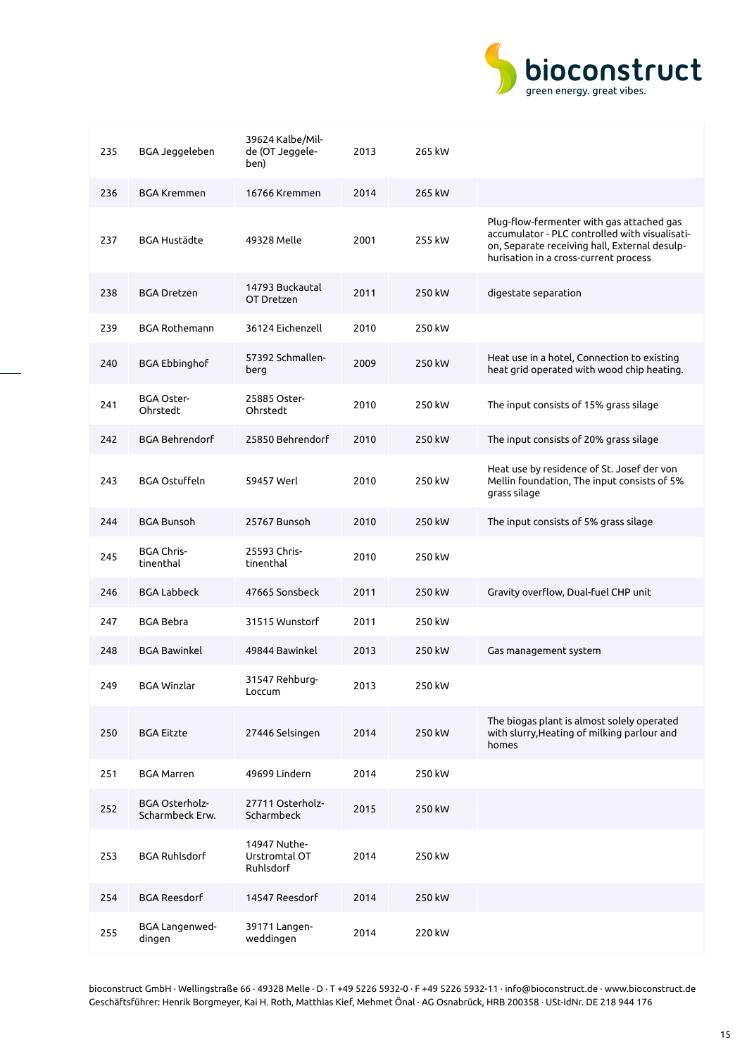

| 235 | BGA Jeggeleben                           | 39624 Kalbe/Mil-<br>de (OT Jeggele-<br>ben) | 2013 | 265 kW |                                                                                                                                                                                       |
|-----|------------------------------------------|---------------------------------------------|------|--------|---------------------------------------------------------------------------------------------------------------------------------------------------------------------------------------|
| 236 | <b>BGA Kremmen</b>                       | 16766 Kremmen                               | 2014 | 265 kW |                                                                                                                                                                                       |
| 237 | <b>BGA Hustädte</b>                      | 49328 Melle                                 | 2001 | 255 kW | Plug-flow-fermenter with gas attached gas<br>accumulator - PLC controlled with visualisati-<br>on, Separate receiving hall, External desulp-<br>hurisation in a cross-current process |
| 238 | <b>BGA Dretzen</b>                       | 14793 Buckautal<br>OT Dretzen               | 2011 | 250 kW | digestate separation                                                                                                                                                                  |
| 239 | <b>BGA Rothemann</b>                     | 36124 Eichenzell                            | 2010 | 250 kW |                                                                                                                                                                                       |
| 240 | <b>BGA Ebbinghof</b>                     | 57392 Schmallen-<br>berg                    | 2009 | 250 kW | Heat use in a hotel, Connection to existing<br>heat grid operated with wood chip heating.                                                                                             |
| 241 | <b>BGA Oster-</b><br>Ohrstedt            | 25885 Oster-<br>Ohrstedt                    | 2010 | 250 kW | The input consists of 15% grass silage                                                                                                                                                |
| 242 | <b>BGA Behrendorf</b>                    | 25850 Behrendorf                            | 2010 | 250 kW | The input consists of 20% grass silage                                                                                                                                                |
| 243 | <b>BGA Ostuffeln</b>                     | 59457 Werl                                  | 2010 | 250 kW | Heat use by residence of St. Josef der von<br>Mellin foundation, The input consists of 5%<br>grass silage                                                                             |
| 244 | <b>BGA Bunsoh</b>                        | 25767 Bunsoh                                | 2010 | 250 kW | The input consists of 5% grass silage                                                                                                                                                 |
| 245 | <b>BGA Chris-</b><br>tinenthal           | 25593 Chris-<br>tinenthal                   | 2010 | 250 kW |                                                                                                                                                                                       |
| 246 | <b>BGA Labbeck</b>                       | 47665 Sonsbeck                              | 2011 | 250 kW | Gravity overflow, Dual-fuel CHP unit                                                                                                                                                  |
| 247 | <b>BGA Bebra</b>                         | 31515 Wunstorf                              | 2011 | 250 kW |                                                                                                                                                                                       |
| 248 | <b>BGA Bawinkel</b>                      | 49844 Bawinkel                              | 2013 | 250 kW | Gas management system                                                                                                                                                                 |
| 249 | <b>BGA Winzlar</b>                       | 31547 Rehburg-<br>Loccum                    | 2013 | 250 kW |                                                                                                                                                                                       |
| 250 | <b>BGA Eitzte</b>                        | 27446 Selsingen                             | 2014 | 250 kW | The biogas plant is almost solely operated<br>with slurry, Heating of milking parlour and<br>homes                                                                                    |
| 251 | <b>BGA Marren</b>                        | 49699 Lindern                               | 2014 | 250 kW |                                                                                                                                                                                       |
| 252 | <b>BGA Osterholz-</b><br>Scharmbeck Erw. | 27711 Osterholz-<br>Scharmbeck              | 2015 | 250 kW |                                                                                                                                                                                       |
| 253 | <b>BGA Ruhlsdorf</b>                     | 14947 Nuthe-<br>Urstromtal OT<br>Ruhlsdorf  | 2014 | 250 kW |                                                                                                                                                                                       |
| 254 | <b>BGA Reesdorf</b>                      | 14547 Reesdorf                              | 2014 | 250 kW |                                                                                                                                                                                       |
| 255 | BGA Langenwed-<br>dingen                 | 39171 Langen-<br>weddingen                  | 2014 | 220 kW |                                                                                                                                                                                       |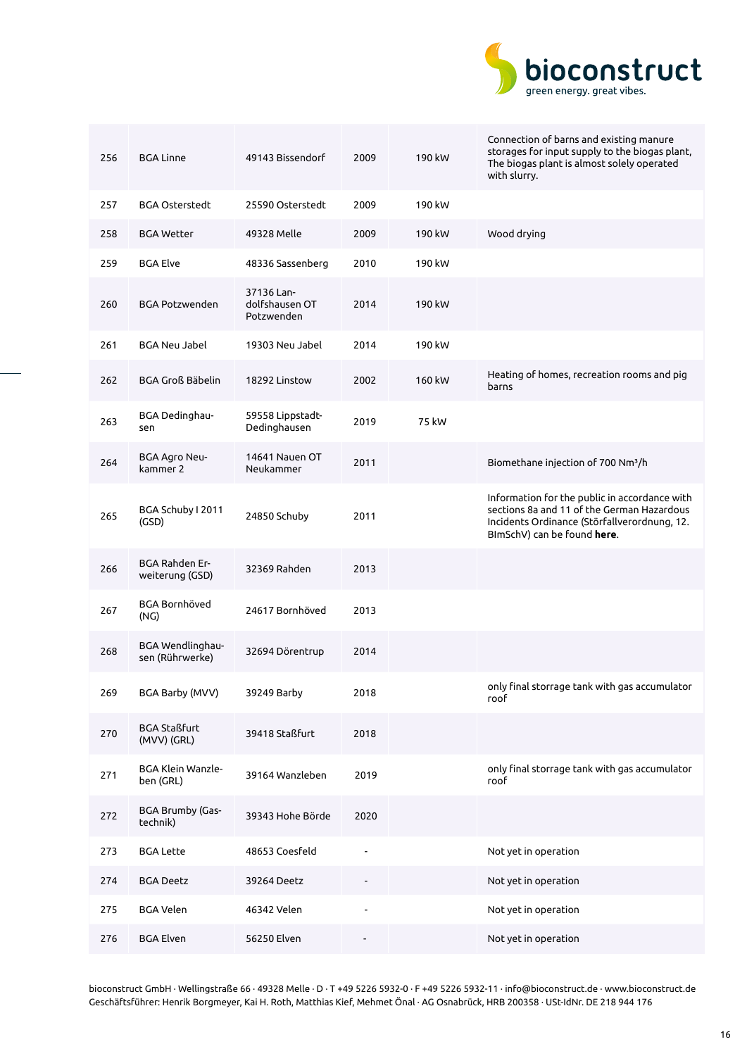

| 256 | <b>BGA Linne</b>                           | 49143 Bissendorf                           | 2009 | 190 kW | Connection of barns and existing manure<br>storages for input supply to the biogas plant,<br>The biogas plant is almost solely operated<br>with slurry.                    |
|-----|--------------------------------------------|--------------------------------------------|------|--------|----------------------------------------------------------------------------------------------------------------------------------------------------------------------------|
| 257 | <b>BGA Osterstedt</b>                      | 25590 Osterstedt                           | 2009 | 190 kW |                                                                                                                                                                            |
| 258 | <b>BGA Wetter</b>                          | 49328 Melle                                | 2009 | 190 kW | Wood drying                                                                                                                                                                |
| 259 | <b>BGA Elve</b>                            | 48336 Sassenberg                           | 2010 | 190 kW |                                                                                                                                                                            |
| 260 | <b>BGA Potzwenden</b>                      | 37136 Lan-<br>dolfshausen OT<br>Potzwenden | 2014 | 190 kW |                                                                                                                                                                            |
| 261 | <b>BGA Neu Jabel</b>                       | 19303 Neu Jabel                            | 2014 | 190 kW |                                                                                                                                                                            |
| 262 | <b>BGA Groß Bäbelin</b>                    | 18292 Linstow                              | 2002 | 160 kW | Heating of homes, recreation rooms and pig<br>barns                                                                                                                        |
| 263 | BGA Dedinghau-<br>sen                      | 59558 Lippstadt-<br>Dedinghausen           | 2019 | 75 kW  |                                                                                                                                                                            |
| 264 | BGA Agro Neu-<br>kammer 2                  | 14641 Nauen OT<br>Neukammer                | 2011 |        | Biomethane injection of 700 Nm <sup>3</sup> /h                                                                                                                             |
| 265 | BGA Schuby I 2011<br>(GSD)                 | 24850 Schuby                               | 2011 |        | Information for the public in accordance with<br>sections 8a and 11 of the German Hazardous<br>Incidents Ordinance (Störfallverordnung, 12.<br>BImSchV) can be found here. |
| 266 | BGA Rahden Er-<br>weiterung (GSD)          | 32369 Rahden                               | 2013 |        |                                                                                                                                                                            |
| 267 | <b>BGA Bornhöved</b><br>(NG)               | 24617 Bornhöved                            | 2013 |        |                                                                                                                                                                            |
| 268 | <b>BGA Wendlinghau-</b><br>sen (Rührwerke) | 32694 Dörentrup                            | 2014 |        |                                                                                                                                                                            |
| 269 | BGA Barby (MVV)                            | 39249 Barby                                | 2018 |        | only final storrage tank with gas accumulator<br>roof                                                                                                                      |
| 270 | <b>BGA Staßfurt</b><br>(MVV) (GRL)         | 39418 Staßfurt                             | 2018 |        |                                                                                                                                                                            |
| 271 | BGA Klein Wanzle-<br>ben (GRL)             | 39164 Wanzleben                            | 2019 |        | only final storrage tank with gas accumulator<br>roof                                                                                                                      |
| 272 | BGA Brumby (Gas-<br>technik)               | 39343 Hohe Börde                           | 2020 |        |                                                                                                                                                                            |
| 273 | <b>BGA Lette</b>                           | 48653 Coesfeld                             |      |        | Not yet in operation                                                                                                                                                       |
| 274 | <b>BGA Deetz</b>                           | 39264 Deetz                                |      |        | Not yet in operation                                                                                                                                                       |
| 275 | <b>BGA Velen</b>                           | 46342 Velen                                |      |        | Not yet in operation                                                                                                                                                       |
| 276 | <b>BGA Elven</b>                           | 56250 Elven                                |      |        | Not yet in operation                                                                                                                                                       |